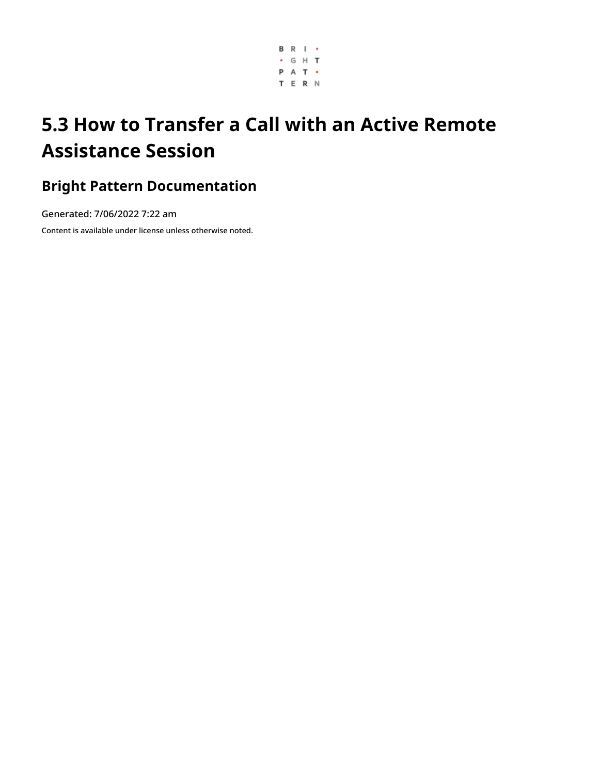

# **5.3 How to Transfer a Call with an Active Remote Assistance Session**

## **Bright Pattern Documentation**

Generated: 7/06/2022 7:22 am

Content is available under license unless otherwise noted.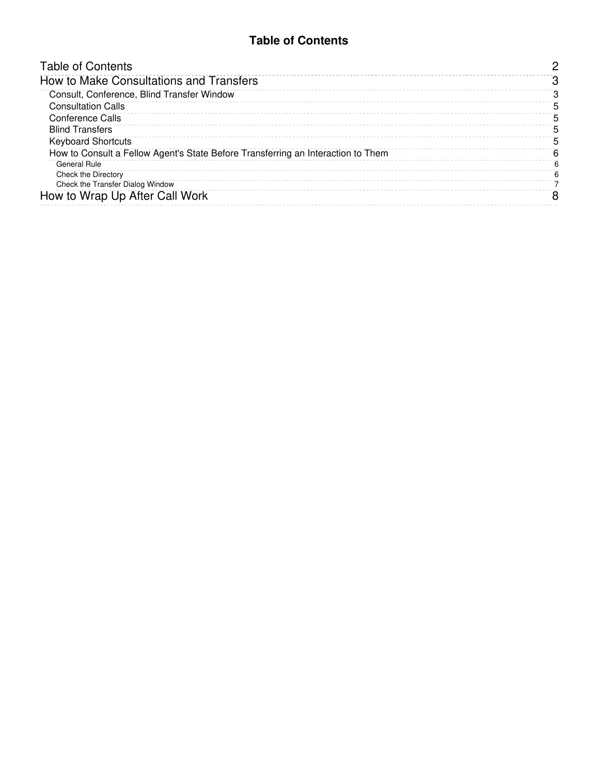#### **Table of Contents**

<span id="page-1-0"></span>

| <b>Table of Contents</b>                                                         |    |
|----------------------------------------------------------------------------------|----|
| How to Make Consultations and Transfers                                          |    |
| Consult, Conference, Blind Transfer Window                                       |    |
| <b>Consultation Calls</b>                                                        | 5  |
| Conference Calls                                                                 | 5  |
| <b>Blind Transfers</b>                                                           | 5  |
| <b>Keyboard Shortcuts</b>                                                        | ٠h |
| How to Consult a Fellow Agent's State Before Transferring an Interaction to Them | 6  |
| General Rule                                                                     |    |
| Check the Directory                                                              |    |
| Check the Transfer Dialog Window                                                 |    |
| How to Wrap Up After Call Work                                                   |    |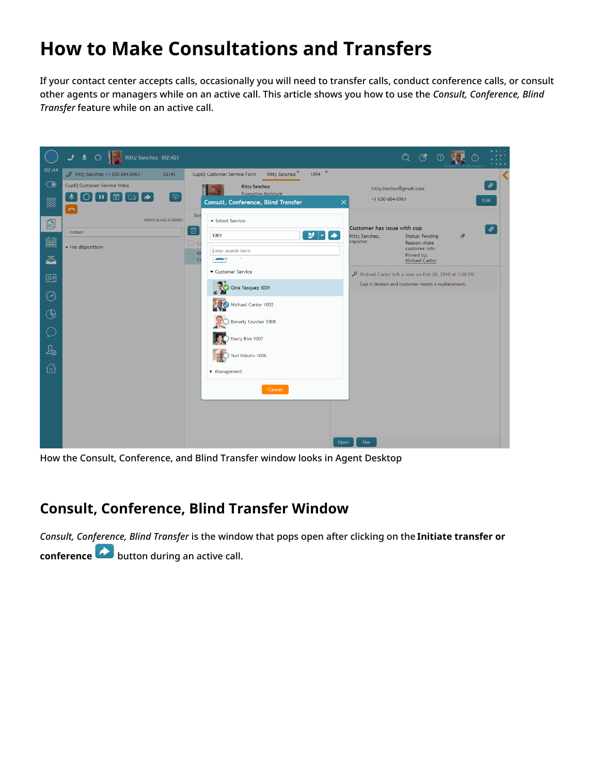## <span id="page-2-0"></span>**How to Make Consultations and Transfers**

If your contact center accepts calls, occasionally you will need to transfer calls, conduct conference calls, or consult other agents or managers while on an active call. This article shows you how to use the *Consult, Conference, Blind Transfer* feature while on an active call.



How the Consult, Conference, and Blind Transfer window looks in Agent Desktop

#### <span id="page-2-1"></span>**Consult, Conference, Blind Transfer Window**

*Consult, Conference, Blind Transfer* is the window that pops open after clicking on the **Initiate transfer or conference** button during an active call.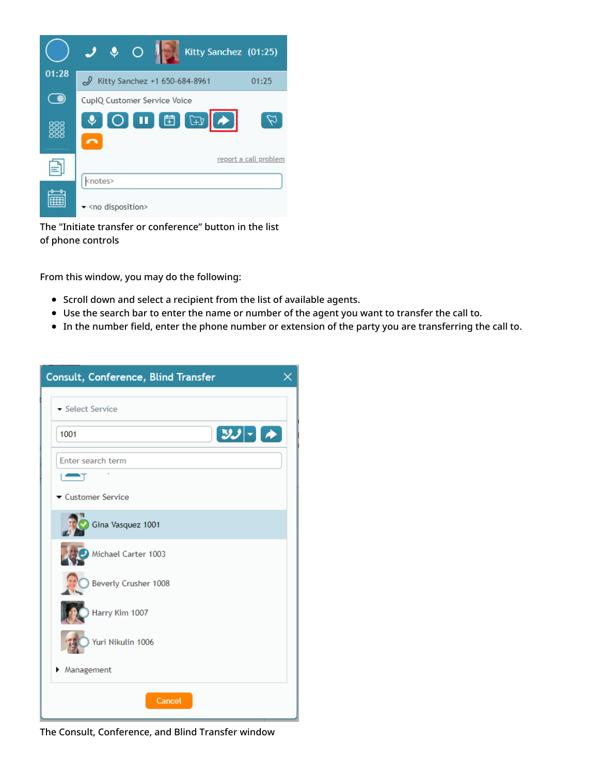

The "Initiate transfer or conference" button in the list of phone controls

From this window, you may do the following:

- Scroll down and select a recipient from the list of available agents.
- Use the search bar to enter the name or number of the agent you want to transfer the call to.
- In the number field, enter the phone number or extension of the party you are transferring the call to.

| Consult, Conference, Blind Transfer |  |
|-------------------------------------|--|
| Select Service                      |  |
| $3J - 7$<br>1001                    |  |
| Enter search term                   |  |
| $\blacksquare$                      |  |
| Customer Service                    |  |
| Gina Vasquez 1001                   |  |
| Michael Carter 1003                 |  |
| Beverly Crusher 1008                |  |
| Harry Kim 1007                      |  |
| Yuri Nikulin 1006                   |  |
| Management<br>▶                     |  |
| Cancel                              |  |

The Consult, Conference, and Blind Transfer window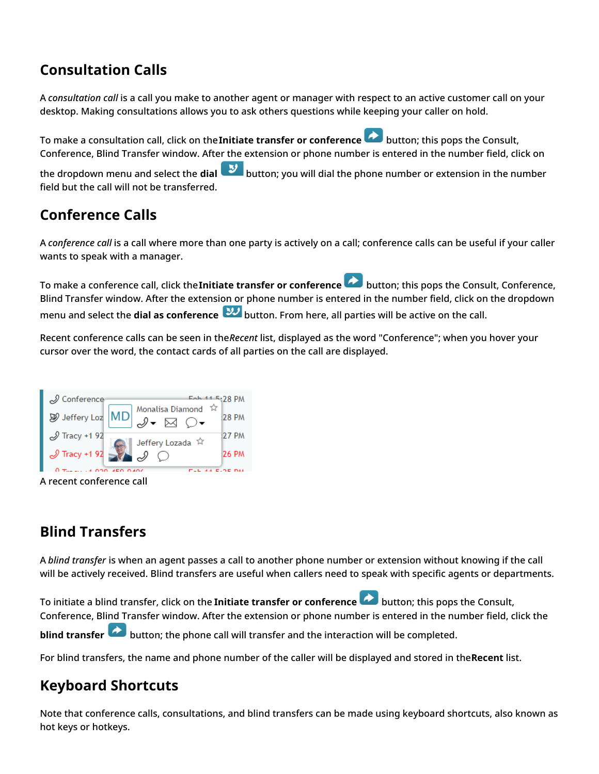### <span id="page-4-0"></span>**Consultation Calls**

A *consultation call* is a call you make to another agent or manager with respect to an active customer call on your desktop. Making consultations allows you to ask others questions while keeping your caller on hold.

To make a consultation call, click on the**Initiate transfer or conference** button; this pops the Consult, Conference, Blind Transfer window. After the extension or phone number is entered in the number field, click on the dropdown menu and select the **dial** button; you will dial the phone number or extension in the number field but the call will not be transferred.

#### <span id="page-4-1"></span>**Conference Calls**

A *conference call* is a call where more than one party is actively on a call; conference calls can be useful if your caller wants to speak with a manager.

To make a conference call, click the**Initiate transfer or conference** button; this pops the Consult, Conference, Blind Transfer window. After the extension or phone number is entered in the number field, click on the dropdown menu and select the **dial as conference** button. From here, all parties will be active on the call.

Recent conference calls can be seen in the*Recent* list, displayed as the word "Conference"; when you hover your cursor over the word, the contact cards of all parties on the call are displayed.



A recent conference call

## <span id="page-4-2"></span>**Blind Transfers**

A *blind transfer* is when an agent passes a call to another phone number or extension without knowing if the call will be actively received. Blind transfers are useful when callers need to speak with specific agents or departments.

To initiate a blind transfer, click on the **Initiate transfer or conference** button; this pops the Consult, Conference, Blind Transfer window. After the extension or phone number is entered in the number field, click the **blind transfer button**; the phone call will transfer and the interaction will be completed.

For blind transfers, the name and phone number of the caller will be displayed and stored in the**Recent** list.

### <span id="page-4-3"></span>**Keyboard Shortcuts**

Note that conference calls, consultations, and blind transfers can be made using keyboard shortcuts, also known as hot keys or hotkeys.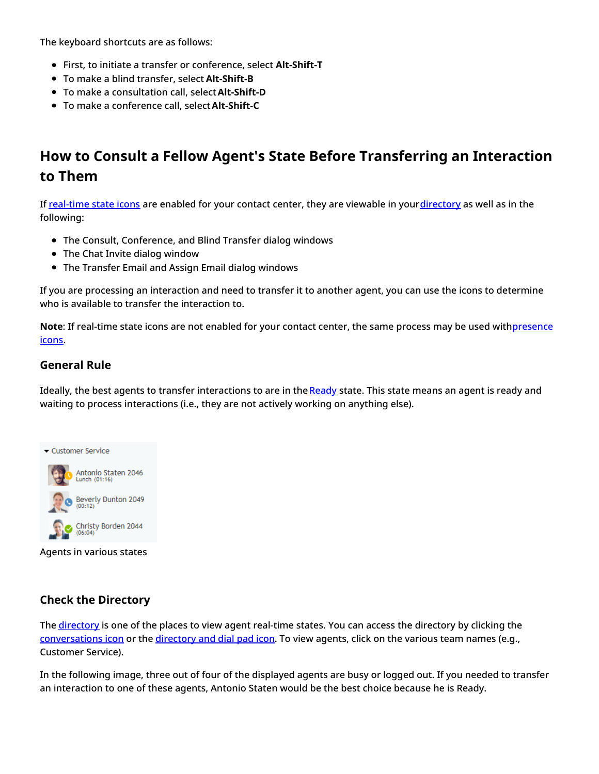The keyboard shortcuts are as follows:

- First, to initiate a transfer or conference, select **Alt-Shift-T**
- To make a blind transfer, select **Alt-Shift-B**
- To make a consultation call, select**Alt-Shift-D**
- To make a conference call, select**Alt-Shift-C**

### <span id="page-5-0"></span>**How to Consult a Fellow Agent's State Before Transferring an Interaction to Them**

If [real-time](https://help.brightpattern.com/5.3:Agent-guide/Tutorials/Calls/HowtoUsetheDirectory#Real-Time_State_Icons) state icons are enabled for your contact center, they are viewable in your[directory](https://help.brightpattern.com/5.3:Agent-guide/UserInterface#Directory) as well as in the following:

- The Consult, Conference, and Blind Transfer dialog windows
- The Chat Invite dialog window
- The Transfer Email and Assign Email dialog windows

If you are processing an interaction and need to transfer it to another agent, you can use the icons to determine who is available to transfer the interaction to.

Note: If real-time state icons are not enabled for your contact center, the same process may be used [withpresence](https://help.brightpattern.com/5.3:Agent-guide/Tutorials/Calls/HowtoUsetheDirectory#Presence_Icons) icons.

#### <span id="page-5-1"></span>**General Rule**

Ideally, the best agents to transfer interactions to are in the [Ready](https://help.brightpattern.com/5.3:Agent-guide/Tutorials/Calls/HowtoUsetheDirectory#Ready) state. This state means an agent is ready and waiting to process interactions (i.e., they are not actively working on anything else).



Agents in various states

#### <span id="page-5-2"></span>**Check the Directory**

The [directory](https://help.brightpattern.com/5.3:Agent-guide/UserInterface#Directory) is one of the places to view agent real-time states. You can access the directory by clicking the [conversations](https://help.brightpattern.com/5.3:Agent-guide/UserInterface#Conversations) icon or the [directory](https://help.brightpattern.com/5.3:Agent-guide/UserInterface#Directory_and_Dial_Pad) and dial pad icon. To view agents, click on the various team names (e.g., Customer Service).

In the following image, three out of four of the displayed agents are busy or logged out. If you needed to transfer an interaction to one of these agents, Antonio Staten would be the best choice because he is Ready.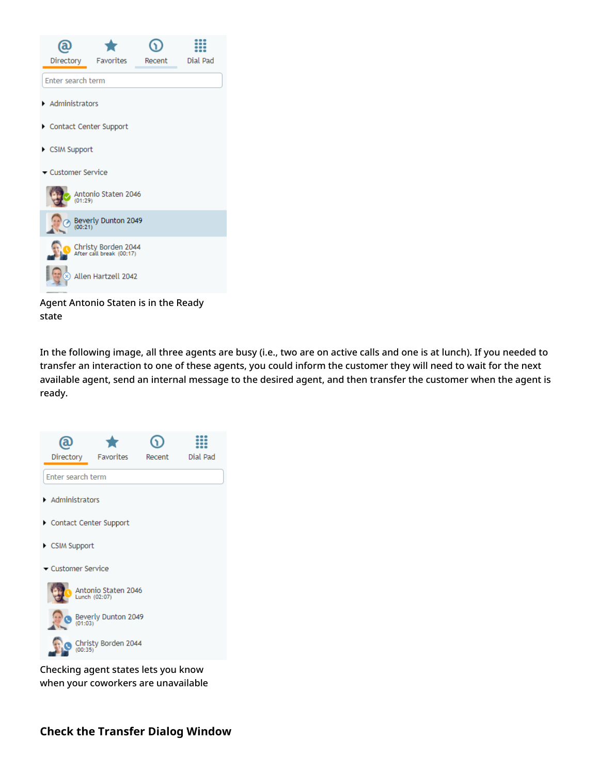

Agent Antonio Staten is in the Ready state

In the following image, all three agents are busy (i.e., two are on active calls and one is at lunch). If you needed to transfer an interaction to one of these agents, you could inform the customer they will need to wait for the next available agent, send an internal message to the desired agent, and then transfer the customer when the agent is ready.



<span id="page-6-0"></span>Checking agent states lets you know when your coworkers are unavailable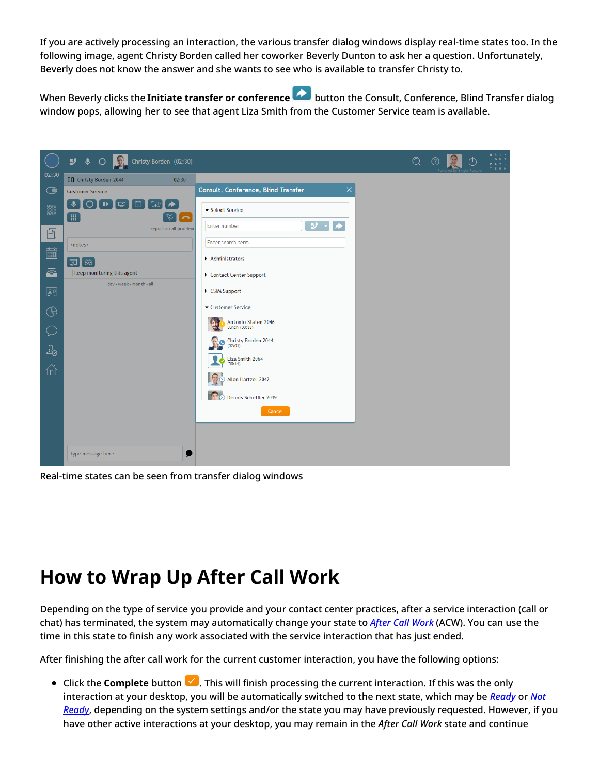If you are actively processing an interaction, the various transfer dialog windows display real-time states too. In the following image, agent Christy Borden called her coworker Beverly Dunton to ask her a question. Unfortunately, Beverly does not know the answer and she wants to see who is available to transfer Christy to.

When Beverly clicks the **Initiate transfer or conference** button the Consult, Conference, Blind Transfer dialog window pops, allowing her to see that agent Liza Smith from the Customer Service team is available.



Real-time states can be seen from transfer dialog windows

## <span id="page-7-0"></span>**How to Wrap Up After Call Work**

Depending on the type of service you provide and your contact center practices, after a service interaction (call or chat) has terminated, the system may automatically change your state to *After Call [Work](https://help.brightpattern.com/5.3:Agent-guide/Tutorials/Calls/TransferCallwithRemoteAssistance/?action=html-localimages-export#topic_agent-guide.2Fhowtointerpretyourcurrentstateinformation)* (ACW). You can use the time in this state to finish any work associated with the service interaction that has just ended.

After finishing the after call work for the current customer interaction, you have the following options:

■ Click the **Complete** button  $\blacksquare$ . This will finish processing the current interaction. If this was the only interaction at your desktop, you will be [automatically](https://help.brightpattern.com/5.3:Agent-guide/Tutorials/Calls/TransferCallwithRemoteAssistance/?action=html-localimages-export#topic_agent-guide.2Fhowtointerpretyourcurrentstateinformation) switched to the next state, which may be *[Ready](https://help.brightpattern.com/5.3:Agent-guide/Tutorials/Calls/TransferCallwithRemoteAssistance/?action=html-localimages-export#topic_agent-guide.2Fhowtointerpretyourcurrentstateinformation)* or *Not Ready*, depending on the system settings and/or the state you may have previously requested. However, if you have other active interactions at your desktop, you may remain in the *After Call Work* state and continue